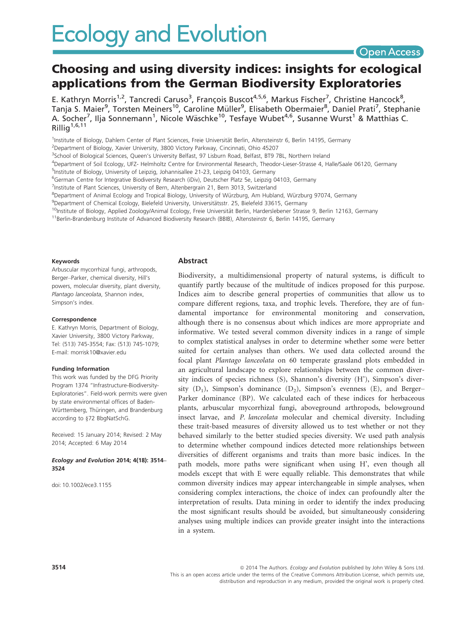# Open Access

# Choosing and using diversity indices: insights for ecological applications from the German Biodiversity Exploratories

E. Kathryn Morris<sup>1,2</sup>, Tancredi Caruso<sup>3</sup>, François Buscot<sup>4,5,6</sup>, Markus Fischer<sup>7</sup>, Christine Hancock<sup>8</sup>, Tanja S. Maier<sup>9</sup>, Torsten Meiners<sup>10</sup>, Caroline Müller<sup>9</sup>, Elisabeth Obermaier<sup>8</sup>, Daniel Prati<sup>7</sup>, Stephanie A. Socher<sup>7</sup>, Ilja Sonnemann<sup>1</sup>, Nicole Wäschke<sup>10</sup>, Tesfaye Wubet<sup>4,6</sup>, Susanne Wurst<sup>1</sup> & Matthias C.  $Rilliq<sup>1,6,11</sup>$ 

1Institute of Biology, Dahlem Center of Plant Sciences, Freie Universität Berlin, Altensteinstr 6, Berlin 14195, Germany

2 Department of Biology, Xavier University, 3800 Victory Parkway, Cincinnati, Ohio 45207

<sup>3</sup>School of Biological Sciences, Queen's University Belfast, 97 Lisburn Road, Belfast, BT9 7BL, Northern Ireland

4 Department of Soil Ecology, UFZ- Helmholtz Centre for Environmental Research, Theodor-Lieser-Strasse 4, Halle/Saale 06120, Germany

5 Institute of Biology, University of Leipzig, Johannisallee 21-23, Leipzig 04103, Germany

<sup>6</sup>German Centre for Integrative Biodiversity Research (iDiv), Deutscher Platz 5e, Leipzig 04103, Germany

<sup>7</sup>Institute of Plant Sciences, University of Bern, Altenbergrain 21, Bern 3013, Switzerland

8Department of Animal Ecology and Tropical Biology, University of Würzburg, Am Hubland, Würzburg 97074, Germany

<sup>9</sup>Department of Chemical Ecology, Bielefeld University, Universitätsstr. 25, Bielefeld 33615, Germany

<sup>10</sup>Institute of Biology, Applied Zoology/Animal Ecology, Freie Universität Berlin, Harderslebener Strasse 9, Berlin 12163, Germany

<sup>11</sup>Berlin-Brandenburg Institute of Advanced Biodiversity Research (BBIB), Altensteinstr 6, Berlin 14195, Germany

#### Keywords

Arbuscular mycorrhizal fungi, arthropods, Berger–Parker, chemical diversity, Hill's powers, molecular diversity, plant diversity, Plantago lanceolata, Shannon index, Simpson's index.

#### Correspondence

E. Kathryn Morris, Department of Biology, Xavier University, 3800 Victory Parkway, Tel: (513) 745-3554; Fax: (513) 745-1079; E-mail: morrisk10@xavier.edu

#### Funding Information

This work was funded by the DFG Priority Program 1374 "Infrastructure-Biodiversity-Exploratories". Field-work permits were given by state environmental offices of Baden-Württemberg, Thüringen, and Brandenburg according to §72 BbgNatSchG.

Received: 15 January 2014; Revised: 2 May 2014; Accepted: 6 May 2014

### Ecology and Evolution 2014; 4(18): 3514– 3524

doi: 10.1002/ece3.1155

## Abstract

Biodiversity, a multidimensional property of natural systems, is difficult to quantify partly because of the multitude of indices proposed for this purpose. Indices aim to describe general properties of communities that allow us to compare different regions, taxa, and trophic levels. Therefore, they are of fundamental importance for environmental monitoring and conservation, although there is no consensus about which indices are more appropriate and informative. We tested several common diversity indices in a range of simple to complex statistical analyses in order to determine whether some were better suited for certain analyses than others. We used data collected around the focal plant Plantago lanceolata on 60 temperate grassland plots embedded in an agricultural landscape to explore relationships between the common diversity indices of species richness (S), Shannon's diversity (H'), Simpson's diversity  $(D_1)$ , Simpson's dominance  $(D_2)$ , Simpson's evenness  $(E)$ , and Berger– Parker dominance (BP). We calculated each of these indices for herbaceous plants, arbuscular mycorrhizal fungi, aboveground arthropods, belowground insect larvae, and P. lanceolata molecular and chemical diversity. Including these trait-based measures of diversity allowed us to test whether or not they behaved similarly to the better studied species diversity. We used path analysis to determine whether compound indices detected more relationships between diversities of different organisms and traits than more basic indices. In the path models, more paths were significant when using H', even though all models except that with E were equally reliable. This demonstrates that while common diversity indices may appear interchangeable in simple analyses, when considering complex interactions, the choice of index can profoundly alter the interpretation of results. Data mining in order to identify the index producing the most significant results should be avoided, but simultaneously considering analyses using multiple indices can provide greater insight into the interactions in a system.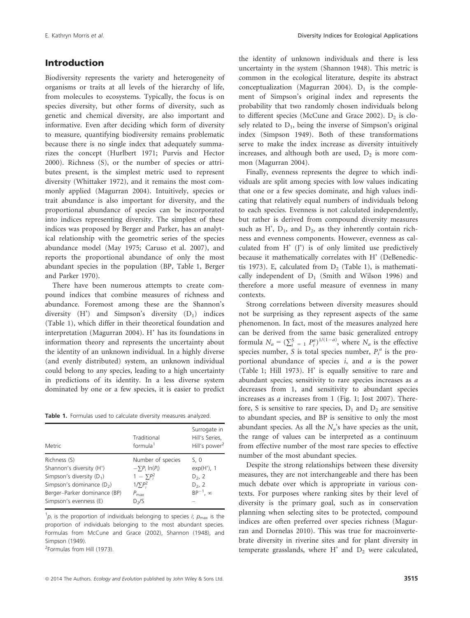# Introduction

Biodiversity represents the variety and heterogeneity of organisms or traits at all levels of the hierarchy of life, from molecules to ecosystems. Typically, the focus is on species diversity, but other forms of diversity, such as genetic and chemical diversity, are also important and informative. Even after deciding which form of diversity to measure, quantifying biodiversity remains problematic because there is no single index that adequately summarizes the concept (Hurlbert 1971; Purvis and Hector 2000). Richness (S), or the number of species or attributes present, is the simplest metric used to represent diversity (Whittaker 1972), and it remains the most commonly applied (Magurran 2004). Intuitively, species or trait abundance is also important for diversity, and the proportional abundance of species can be incorporated into indices representing diversity. The simplest of these indices was proposed by Berger and Parker, has an analytical relationship with the geometric series of the species abundance model (May 1975; Caruso et al. 2007), and reports the proportional abundance of only the most abundant species in the population (BP, Table 1, Berger and Parker 1970).

There have been numerous attempts to create compound indices that combine measures of richness and abundance. Foremost among these are the Shannon's diversity  $(H')$  and Simpson's diversity  $(D_1)$  indices (Table 1), which differ in their theoretical foundation and interpretation (Magurran 2004). H' has its foundations in information theory and represents the uncertainty about the identity of an unknown individual. In a highly diverse (and evenly distributed) system, an unknown individual could belong to any species, leading to a high uncertainty in predictions of its identity. In a less diverse system dominated by one or a few species, it is easier to predict

Table 1. Formulas used to calculate diversity measures analyzed.

| Metric                       | Traditional<br>formula <sup>1</sup> | Surrogate in<br>Hill's Series,<br>Hill's power <sup>2</sup> |
|------------------------------|-------------------------------------|-------------------------------------------------------------|
| Richness (S)                 | Number of species                   | S.0                                                         |
| Shannon's diversity (H')     | $-\sum P_i \ln(P_i)$                | $exp(H')$ , 1                                               |
| Simpson's diversity $(D_1)$  | $1 - \sum P_i^2$                    | $D_2, 2$                                                    |
| Simpson's dominance $(D_2)$  | $1/\sum P_i^2$                      | $D_2, 2$                                                    |
| Berger-Parker dominance (BP) | $P_{\text{max}}$                    | $BP^{-1}$ , $\infty$                                        |
| Simpson's evenness (E)       | D <sub>2</sub> /S                   |                                                             |

 ${}^{1}P_{i}$  is the proportion of individuals belonging to species *i*;  $p_{\text{max}}$  is the proportion of individuals belonging to the most abundant species. Formulas from McCune and Grace (2002), Shannon (1948), and Simpson (1949).

<sup>2</sup>Formulas from Hill (1973).

the identity of unknown individuals and there is less uncertainty in the system (Shannon 1948). This metric is common in the ecological literature, despite its abstract conceptualization (Magurran 2004).  $D_1$  is the complement of Simpson's original index and represents the probability that two randomly chosen individuals belong to different species (McCune and Grace 2002).  $D_2$  is closely related to  $D_1$ , being the inverse of Simpson's original index (Simpson 1949). Both of these transformations serve to make the index increase as diversity intuitively increases, and although both are used,  $D_2$  is more common (Magurran 2004).

Finally, evenness represents the degree to which individuals are split among species with low values indicating that one or a few species dominate, and high values indicating that relatively equal numbers of individuals belong to each species. Evenness is not calculated independently, but rather is derived from compound diversity measures such as H',  $D_1$ , and  $D_2$ , as they inherently contain richness and evenness components. However, evenness as calculated from H' (J') is of only limited use predictively because it mathematically correlates with H' (DeBenedictis 1973). E, calculated from  $D_2$  (Table 1), is mathematically independent of  $D_1$  (Smith and Wilson 1996) and therefore a more useful measure of evenness in many contexts.

Strong correlations between diversity measures should not be surprising as they represent aspects of the same phenomenon. In fact, most of the measures analyzed here can be derived from the same basic generalized entropy formula  $N_a = (\sum_{i=1}^{S} P_i^a)^{1/(1-a)}$ , where  $N_a$  is the effective<br>species number. S is total species number.  $P^a$  is the pro- $\tilde{i} = 1 \frac{F_i}{i}$ <br>S is total species number, S is total species number,  $P_i^a$  is the pro-<br>portional abundance of species is and g is the power portional abundance of species  $i$ , and  $a$  is the power (Table 1; Hill 1973). H' is equally sensitive to rare and abundant species; sensitivity to rare species increases as a decreases from 1, and sensitivity to abundant species increases as a increases from 1 (Fig. 1; Jost 2007). Therefore, S is sensitive to rare species,  $D_1$  and  $D_2$  are sensitive to abundant species, and BP is sensitive to only the most abundant species. As all the  $N_a$ 's have species as the unit, the range of values can be interpreted as a continuum from effective number of the most rare species to effective number of the most abundant species.

Despite the strong relationships between these diversity measures, they are not interchangeable and there has been much debate over which is appropriate in various contexts. For purposes where ranking sites by their level of diversity is the primary goal, such as in conservation planning when selecting sites to be protected, compound indices are often preferred over species richness (Magurran and Dornelas 2010). This was true for macroinvertebrate diversity in riverine sites and for plant diversity in temperate grasslands, where H' and  $D_2$  were calculated,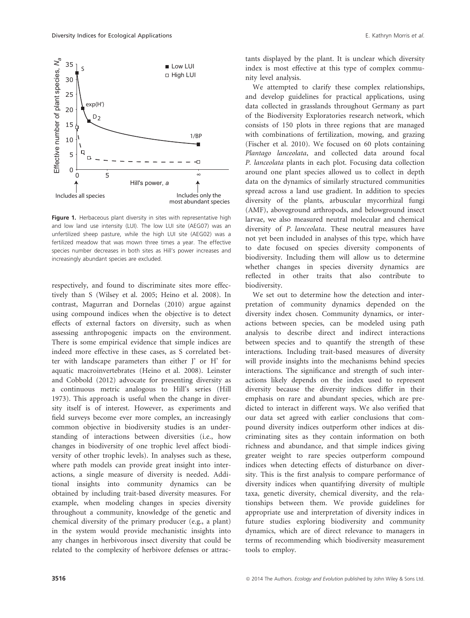

Figure 1. Herbaceous plant diversity in sites with representative high and low land use intensity (LUI). The low LUI site (AEG07) was an unfertilized sheep pasture, while the high LUI site (AEG02) was a fertilized meadow that was mown three times a year. The effective species number decreases in both sites as Hill's power increases and increasingly abundant species are excluded.

respectively, and found to discriminate sites more effectively than S (Wilsey et al. 2005; Heino et al. 2008). In contrast, Magurran and Dornelas (2010) argue against using compound indices when the objective is to detect effects of external factors on diversity, such as when assessing anthropogenic impacts on the environment. There is some empirical evidence that simple indices are indeed more effective in these cases, as S correlated better with landscape parameters than either J' or H' for aquatic macroinvertebrates (Heino et al. 2008). Leinster and Cobbold (2012) advocate for presenting diversity as a continuous metric analogous to Hill's series (Hill 1973). This approach is useful when the change in diversity itself is of interest. However, as experiments and field surveys become ever more complex, an increasingly common objective in biodiversity studies is an understanding of interactions between diversities (i.e., how changes in biodiversity of one trophic level affect biodiversity of other trophic levels). In analyses such as these, where path models can provide great insight into interactions, a single measure of diversity is needed. Additional insights into community dynamics can be obtained by including trait-based diversity measures. For example, when modeling changes in species diversity throughout a community, knowledge of the genetic and chemical diversity of the primary producer (e.g., a plant) in the system would provide mechanistic insights into any changes in herbivorous insect diversity that could be related to the complexity of herbivore defenses or attractants displayed by the plant. It is unclear which diversity index is most effective at this type of complex community level analysis.

We attempted to clarify these complex relationships, and develop guidelines for practical applications, using data collected in grasslands throughout Germany as part of the Biodiversity Exploratories research network, which consists of 150 plots in three regions that are managed with combinations of fertilization, mowing, and grazing (Fischer et al. 2010). We focused on 60 plots containing Plantago lanceolata, and collected data around focal P. lanceolata plants in each plot. Focusing data collection around one plant species allowed us to collect in depth data on the dynamics of similarly structured communities spread across a land use gradient. In addition to species diversity of the plants, arbuscular mycorrhizal fungi (AMF), aboveground arthropods, and belowground insect larvae, we also measured neutral molecular and chemical diversity of P. lanceolata. These neutral measures have not yet been included in analyses of this type, which have to date focused on species diversity components of biodiversity. Including them will allow us to determine whether changes in species diversity dynamics are reflected in other traits that also contribute to biodiversity.

We set out to determine how the detection and interpretation of community dynamics depended on the diversity index chosen. Community dynamics, or interactions between species, can be modeled using path analysis to describe direct and indirect interactions between species and to quantify the strength of these interactions. Including trait-based measures of diversity will provide insights into the mechanisms behind species interactions. The significance and strength of such interactions likely depends on the index used to represent diversity because the diversity indices differ in their emphasis on rare and abundant species, which are predicted to interact in different ways. We also verified that our data set agreed with earlier conclusions that compound diversity indices outperform other indices at discriminating sites as they contain information on both richness and abundance, and that simple indices giving greater weight to rare species outperform compound indices when detecting effects of disturbance on diversity. This is the first analysis to compare performance of diversity indices when quantifying diversity of multiple taxa, genetic diversity, chemical diversity, and the relationships between them. We provide guidelines for appropriate use and interpretation of diversity indices in future studies exploring biodiversity and community dynamics, which are of direct relevance to managers in terms of recommending which biodiversity measurement tools to employ.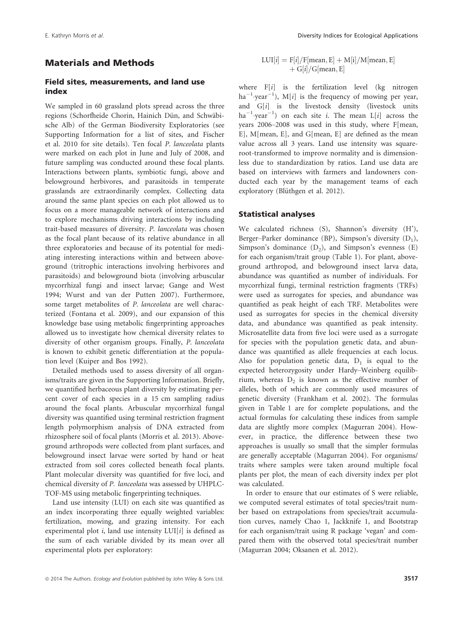# Materials and Methods

## Field sites, measurements, and land use index

We sampled in 60 grassland plots spread across the three regions (Schorfheide Chorin, Hainich Dün, and Schwäbische Alb) of the German Biodiversity Exploratories (see Supporting Information for a list of sites, and Fischer et al. 2010 for site details). Ten focal P. lanceolata plants were marked on each plot in June and July of 2008, and future sampling was conducted around these focal plants. Interactions between plants, symbiotic fungi, above and belowground herbivores, and parasitoids in temperate grasslands are extraordinarily complex. Collecting data around the same plant species on each plot allowed us to focus on a more manageable network of interactions and to explore mechanisms driving interactions by including trait-based measures of diversity. P. lanceolata was chosen as the focal plant because of its relative abundance in all three exploratories and because of its potential for mediating interesting interactions within and between aboveground (tritrophic interactions involving herbivores and parasitoids) and belowground biota (involving arbuscular mycorrhizal fungi and insect larvae; Gange and West 1994; Wurst and van der Putten 2007). Furthermore, some target metabolites of P. lanceolata are well characterized (Fontana et al. 2009), and our expansion of this knowledge base using metabolic fingerprinting approaches allowed us to investigate how chemical diversity relates to diversity of other organism groups. Finally, P. lanceolata is known to exhibit genetic differentiation at the population level (Kuiper and Bos 1992).

Detailed methods used to assess diversity of all organisms/traits are given in the Supporting Information. Briefly, we quantified herbaceous plant diversity by estimating percent cover of each species in a 15 cm sampling radius around the focal plants. Arbuscular mycorrhizal fungal diversity was quantified using terminal restriction fragment length polymorphism analysis of DNA extracted from rhizosphere soil of focal plants (Morris et al. 2013). Aboveground arthropods were collected from plant surfaces, and belowground insect larvae were sorted by hand or heat extracted from soil cores collected beneath focal plants. Plant molecular diversity was quantified for five loci, and chemical diversity of P. lanceolata was assessed by UHPLC-TOF-MS using metabolic fingerprinting techniques.

Land use intensity (LUI) on each site was quantified as an index incorporating three equally weighted variables: fertilization, mowing, and grazing intensity. For each experimental plot  $i$ , land use intensity  $LUI[i]$  is defined as the sum of each variable divided by its mean over all experimental plots per exploratory:

$$
LUI[i] = F[i]/F[mean, E] + M[i]/M[mean, E] + G[i]/G[mean, E]
$$

where  $F[i]$  is the fertilization level (kg nitrogen  $\text{ha}^{-1} \cdot \text{year}^{-1}$ ),  $\text{M}[i]$  is the frequency of mowing per year, and  $G[i]$  is the livestock density (livestock units ha<sup>-1</sup>-year<sup>-1</sup>) on each site *i*. The mean  $L[i]$  across the years 2006–2008 was used in this study, where F[mean, E], M[mean, E], and G[mean, E] are defined as the mean value across all 3 years. Land use intensity was squareroot-transformed to improve normality and is dimensionless due to standardization by ratios. Land use data are based on interviews with farmers and landowners conducted each year by the management teams of each exploratory (Blüthgen et al. 2012).

## Statistical analyses

We calculated richness (S), Shannon's diversity (H'), Berger–Parker dominance (BP), Simpson's diversity  $(D_1)$ , Simpson's dominance  $(D_2)$ , and Simpson's evenness  $(E)$ for each organism/trait group (Table 1). For plant, aboveground arthropod, and belowground insect larva data, abundance was quantified as number of individuals. For mycorrhizal fungi, terminal restriction fragments (TRFs) were used as surrogates for species, and abundance was quantified as peak height of each TRF. Metabolites were used as surrogates for species in the chemical diversity data, and abundance was quantified as peak intensity. Microsatellite data from five loci were used as a surrogate for species with the population genetic data, and abundance was quantified as allele frequencies at each locus. Also for population genetic data,  $D_1$  is equal to the expected heterozygosity under Hardy–Weinberg equilibrium, whereas  $D_2$  is known as the effective number of alleles, both of which are commonly used measures of genetic diversity (Frankham et al. 2002). The formulas given in Table 1 are for complete populations, and the actual formulas for calculating these indices from sample data are slightly more complex (Magurran 2004). However, in practice, the difference between these two approaches is usually so small that the simpler formulas are generally acceptable (Magurran 2004). For organisms/ traits where samples were taken around multiple focal plants per plot, the mean of each diversity index per plot was calculated.

In order to ensure that our estimates of S were reliable, we computed several estimates of total species/trait number based on extrapolations from species/trait accumulation curves, namely Chao 1, Jackknife 1, and Bootstrap for each organism/trait using R package 'vegan' and compared them with the observed total species/trait number (Magurran 2004; Oksanen et al. 2012).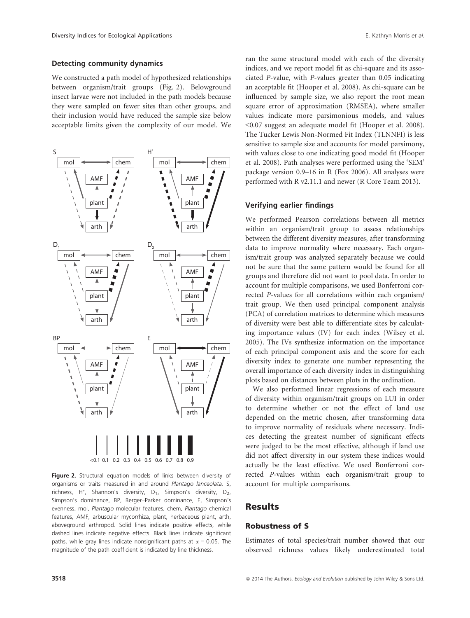### Detecting community dynamics

We constructed a path model of hypothesized relationships between organism/trait groups (Fig. 2). Belowground insect larvae were not included in the path models because they were sampled on fewer sites than other groups, and their inclusion would have reduced the sample size below acceptable limits given the complexity of our model. We



Figure 2. Structural equation models of links between diversity of organisms or traits measured in and around Plantago lanceolata. S, richness, H', Shannon's diversity,  $D_1$ , Simpson's diversity,  $D_2$ , Simpson's dominance, BP, Berger–Parker dominance, E, Simpson's evenness, mol, Plantago molecular features, chem, Plantago chemical features, AMF, arbuscular mycorrhiza, plant, herbaceous plant, arth, aboveground arthropod. Solid lines indicate positive effects, while dashed lines indicate negative effects. Black lines indicate significant paths, while gray lines indicate nonsignificant paths at  $\alpha = 0.05$ . The magnitude of the path coefficient is indicated by line thickness.

ran the same structural model with each of the diversity indices, and we report model fit as chi-square and its associated P-value, with P-values greater than 0.05 indicating an acceptable fit (Hooper et al. 2008). As chi-square can be influenced by sample size, we also report the root mean square error of approximation (RMSEA), where smaller values indicate more parsimonious models, and values <0.07 suggest an adequate model fit (Hooper et al. 2008). The Tucker Lewis Non-Normed Fit Index (TLNNFI) is less sensitive to sample size and accounts for model parsimony, with values close to one indicating good model fit (Hooper et al. 2008). Path analyses were performed using the 'SEM' package version 0.9–16 in R (Fox 2006). All analyses were performed with R v2.11.1 and newer (R Core Team 2013).

### Verifying earlier findings

We performed Pearson correlations between all metrics within an organism/trait group to assess relationships between the different diversity measures, after transforming data to improve normality where necessary. Each organism/trait group was analyzed separately because we could not be sure that the same pattern would be found for all groups and therefore did not want to pool data. In order to account for multiple comparisons, we used Bonferroni corrected P-values for all correlations within each organism/ trait group. We then used principal component analysis (PCA) of correlation matrices to determine which measures of diversity were best able to differentiate sites by calculating importance values (IV) for each index (Wilsey et al. 2005). The IVs synthesize information on the importance of each principal component axis and the score for each diversity index to generate one number representing the overall importance of each diversity index in distinguishing plots based on distances between plots in the ordination.

We also performed linear regressions of each measure of diversity within organism/trait groups on LUI in order to determine whether or not the effect of land use depended on the metric chosen, after transforming data to improve normality of residuals where necessary. Indices detecting the greatest number of significant effects were judged to be the most effective, although if land use did not affect diversity in our system these indices would actually be the least effective. We used Bonferroni corrected P-values within each organism/trait group to account for multiple comparisons.

# **Results**

## Robustness of S

Estimates of total species/trait number showed that our observed richness values likely underestimated total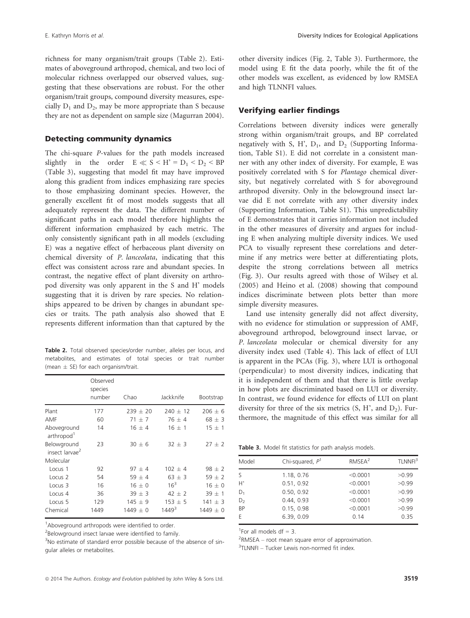richness for many organism/trait groups (Table 2). Estimates of aboveground arthropod, chemical, and two loci of molecular richness overlapped our observed values, suggesting that these observations are robust. For the other organism/trait groups, compound diversity measures, especially  $D_1$  and  $D_2$ , may be more appropriate than S because they are not as dependent on sample size (Magurran 2004).

## Detecting community dynamics

The chi-square P-values for the path models increased slightly in the order  $E \ll S \le H' = D_1 \le D_2 \le BP$ (Table 3), suggesting that model fit may have improved along this gradient from indices emphasizing rare species to those emphasizing dominant species. However, the generally excellent fit of most models suggests that all adequately represent the data. The different number of significant paths in each model therefore highlights the different information emphasized by each metric. The only consistently significant path in all models (excluding E) was a negative effect of herbaceous plant diversity on chemical diversity of P. lanceolata, indicating that this effect was consistent across rare and abundant species. In contrast, the negative effect of plant diversity on arthropod diversity was only apparent in the S and H' models suggesting that it is driven by rare species. No relationships appeared to be driven by changes in abundant species or traits. The path analysis also showed that E represents different information than that captured by the

Table 2. Total observed species/order number, alleles per locus, and metabolites, and estimates of total species or trait number (mean  $\pm$  SE) for each organism/trait.

|                                           | Observed<br>species<br>number | Chao       | Jackknife    |                  |
|-------------------------------------------|-------------------------------|------------|--------------|------------------|
|                                           |                               |            |              | <b>Bootstrap</b> |
| Plant                                     | 177                           | $239 + 20$ | $240 \pm 12$ | $206 \pm 6$      |
| AMF                                       | 60                            | $71 + 7$   | $76 + 4$     | $68 \pm 3$       |
| Aboveground<br>arthropod <sup>1</sup>     | 14                            | $16 + 4$   | $16 + 1$     | $15 + 1$         |
| Belowground<br>insect larvae <sup>2</sup> | 23                            | $30 + 6$   | $32 + 3$     | $27 + 2$         |
| Molecular                                 |                               |            |              |                  |
| Locus <sub>1</sub>                        | 92                            | $97 + 4$   | $102 + 4$    | $98 + 2$         |
| Locus <sub>2</sub>                        | 54                            | $59 + 4$   | $63 + 3$     | $59 + 2$         |
| Locus 3                                   | 16                            | $16 + 0$   | $16^3$       | $16 + 0$         |
| Locus <sub>4</sub>                        | 36                            | $39 + 3$   | $42 + 2$     | $39 + 1$         |
| Locus <sub>5</sub>                        | 129                           | $145 + 9$  | $153 + 5$    | $141 + 3$        |
| Chemical                                  | 1449                          | $1449 + 0$ | $1449^3$     | $1449 + 0$       |

<sup>1</sup>Aboveground arthropods were identified to order.

<sup>2</sup>Belowground insect larvae were identified to family.

<sup>3</sup>No estimate of standard error possible because of the absence of singular alleles or metabolites.

other diversity indices (Fig. 2, Table 3). Furthermore, the model using E fit the data poorly, while the fit of the other models was excellent, as evidenced by low RMSEA and high TLNNFI values.

## Verifying earlier findings

Correlations between diversity indices were generally strong within organism/trait groups, and BP correlated negatively with S, H',  $D_1$ , and  $D_2$  (Supporting Information, Table S1). E did not correlate in a consistent manner with any other index of diversity. For example, E was positively correlated with S for Plantago chemical diversity, but negatively correlated with S for aboveground arthropod diversity. Only in the belowground insect larvae did E not correlate with any other diversity index (Supporting Information, Table S1). This unpredictability of E demonstrates that it carries information not included in the other measures of diversity and argues for including E when analyzing multiple diversity indices. We used PCA to visually represent these correlations and determine if any metrics were better at differentiating plots, despite the strong correlations between all metrics (Fig. 3). Our results agreed with those of Wilsey et al. (2005) and Heino et al. (2008) showing that compound indices discriminate between plots better than more simple diversity measures.

Land use intensity generally did not affect diversity, with no evidence for stimulation or suppression of AMF, aboveground arthropod, belowground insect larvae, or P. lanceolata molecular or chemical diversity for any diversity index used (Table 4). This lack of effect of LUI is apparent in the PCAs (Fig. 3), where LUI is orthogonal (perpendicular) to most diversity indices, indicating that it is independent of them and that there is little overlap in how plots are discriminated based on LUI or diversity. In contrast, we found evidence for effects of LUI on plant diversity for three of the six metrics  $(S, H', and D_2)$ . Furthermore, the magnitude of this effect was similar for all

Table 3. Model fit statistics for path analysis models.

| Chi-squared, $P1$<br>Model |            | RMSEA <sup>2</sup> | TLNNFI <sup>3</sup> |
|----------------------------|------------|--------------------|---------------------|
|                            | 1.18, 0.76 | < 0.0001           | >0.99               |
| H,                         | 0.51, 0.92 | < 0.0001           | >0.99               |
| $D_1$                      | 0.50, 0.92 | < 0.0001           | >0.99               |
| D <sub>2</sub>             | 0.44, 0.93 | < 0.0001           | >0.99               |
| <b>BP</b>                  | 0.15, 0.98 | < 0.0001           | >0.99               |
|                            | 6.39, 0.09 | 0.14               | 0.35                |
|                            |            |                    |                     |

<sup>1</sup>For all models  $df = 3$ .

<sup>2</sup>RMSEA – root mean square error of approximation.

<sup>3</sup>TLNNFI - Tucker Lewis non-normed fit index.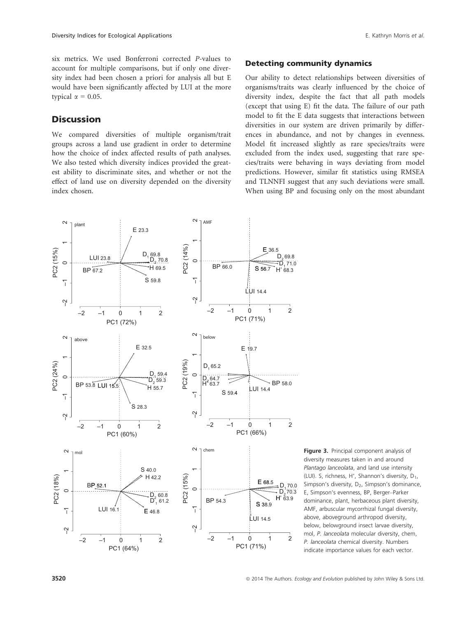six metrics. We used Bonferroni corrected P-values to account for multiple comparisons, but if only one diversity index had been chosen a priori for analysis all but E would have been significantly affected by LUI at the more typical  $\alpha = 0.05$ .

# **Discussion**

We compared diversities of multiple organism/trait groups across a land use gradient in order to determine how the choice of index affected results of path analyses. We also tested which diversity indices provided the greatest ability to discriminate sites, and whether or not the effect of land use on diversity depended on the diversity index chosen.

## Detecting community dynamics

Our ability to detect relationships between diversities of organisms/traits was clearly influenced by the choice of diversity index, despite the fact that all path models (except that using E) fit the data. The failure of our path model to fit the E data suggests that interactions between diversities in our system are driven primarily by differences in abundance, and not by changes in evenness. Model fit increased slightly as rare species/traits were excluded from the index used, suggesting that rare species/traits were behaving in ways deviating from model predictions. However, similar fit statistics using RMSEA and TLNNFI suggest that any such deviations were small. When using BP and focusing only on the most abundant



Figure 3. Principal component analysis of diversity measures taken in and around Plantago lanceolata, and land use intensity (LUI). S, richness, H', Shannon's diversity,  $D_1$ , Simpson's diversity, D<sub>2</sub>, Simpson's dominance, E, Simpson's evenness, BP, Berger–Parker dominance, plant, herbaceous plant diversity, AMF, arbuscular mycorrhizal fungal diversity, above, aboveground arthropod diversity, below, belowground insect larvae diversity, mol, P. lanceolata molecular diversity, chem, P. lanceolata chemical diversity. Numbers indicate importance values for each vector.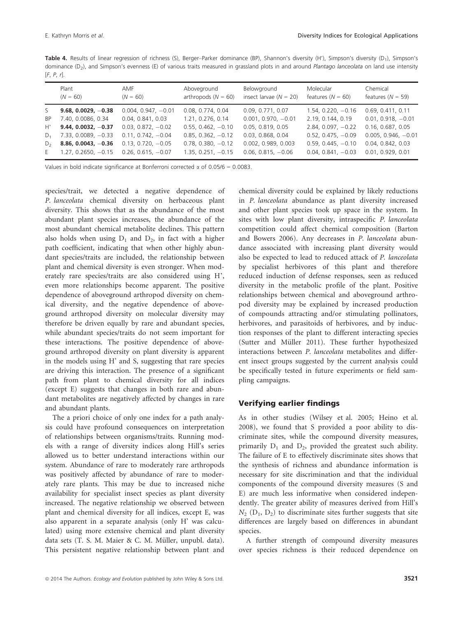Table 4. Results of linear regression of richness (S), Berger–Parker dominance (BP), Shannon's diversity (H'), Simpson's diversity (D<sub>1</sub>), Simpson's dominance (D<sub>2</sub>), and Simpson's evenness (E) of various traits measured in grassland plots in and around Plantago lanceolata on land use intensity [F, P, r].

|         | Plant<br>$(N = 60)$   | AMF<br>$(N = 60)$     | Aboveground<br>arthropods $(N = 60)$ | Belowground<br>insect larvae $(N = 20)$ | Molecular<br>features $(N = 60)$ | Chemical<br>features ( $N = 59$ ) |
|---------|-----------------------|-----------------------|--------------------------------------|-----------------------------------------|----------------------------------|-----------------------------------|
| S.      | $9.68, 0.0029, -0.38$ | $0.004, 0.947, -0.01$ | 0.08, 0.774, 0.04                    | 0.09, 0.771, 0.07                       | $1.54, 0.220, -0.16$             | 0.69, 0.411, 0.11                 |
| BP.     | 7.40, 0.0086, 0.34    | 0.04, 0.841, 0.03     | 1.21, 0.276, 0.14                    | $0.001, 0.970, -0.01$                   | 2.19, 0.144, 0.19                | $0.01, 0.918, -0.01$              |
| $H^*$   | $9.44, 0.0032, -0.37$ | $0.03, 0.872, -0.02$  | $0.55, 0.462, -0.10$                 | 0.05, 0.819, 0.05                       | $2.84, 0.097, -0.22$             | 0.16, 0.687, 0.05                 |
| $D_1$   | $7.33, 0.0089, -0.33$ | $0.11, 0.742, -0.04$  | $0.85, 0.362, -0.12$                 | 0.03, 0.868, 0.04                       | $0.52, 0.475, -0.09$             | $0.005, 0.946, -0.01$             |
| $D_{2}$ | $8.86, 0.0043, -0.36$ | $0.13, 0.720, -0.05$  | $0.78, 0.380, -0.12$                 | 0.002, 0.989, 0.003                     | $0.59, 0.445, -0.10$             | 0.04, 0.842, 0.03                 |
| E.      | $1.27, 0.2650, -0.15$ | $0.26. 0.615. -0.07$  | $1.35, 0.251, -0.15$                 | $0.06, 0.815, -0.06$                    | $0.04, 0.841, -0.03$             | 0.01, 0.929, 0.01                 |

Values in bold indicate significance at Bonferroni corrected  $\alpha$  of 0.05/6 = 0.0083.

species/trait, we detected a negative dependence of P. lanceolata chemical diversity on herbaceous plant diversity. This shows that as the abundance of the most abundant plant species increases, the abundance of the most abundant chemical metabolite declines. This pattern also holds when using  $D_1$  and  $D_2$ , in fact with a higher path coefficient, indicating that when other highly abundant species/traits are included, the relationship between plant and chemical diversity is even stronger. When moderately rare species/traits are also considered using H', even more relationships become apparent. The positive dependence of aboveground arthropod diversity on chemical diversity, and the negative dependence of aboveground arthropod diversity on molecular diversity may therefore be driven equally by rare and abundant species, while abundant species/traits do not seem important for these interactions. The positive dependence of aboveground arthropod diversity on plant diversity is apparent in the models using H' and S, suggesting that rare species are driving this interaction. The presence of a significant path from plant to chemical diversity for all indices (except E) suggests that changes in both rare and abundant metabolites are negatively affected by changes in rare and abundant plants.

The a priori choice of only one index for a path analysis could have profound consequences on interpretation of relationships between organisms/traits. Running models with a range of diversity indices along Hill's series allowed us to better understand interactions within our system. Abundance of rare to moderately rare arthropods was positively affected by abundance of rare to moderately rare plants. This may be due to increased niche availability for specialist insect species as plant diversity increased. The negative relationship we observed between plant and chemical diversity for all indices, except E, was also apparent in a separate analysis (only H' was calculated) using more extensive chemical and plant diversity data sets (T. S. M. Maier & C. M. Müller, unpubl. data). This persistent negative relationship between plant and chemical diversity could be explained by likely reductions in P. lanceolata abundance as plant diversity increased and other plant species took up space in the system. In sites with low plant diversity, intraspecific P. lanceolata competition could affect chemical composition (Barton and Bowers 2006). Any decreases in P. lanceolata abundance associated with increasing plant diversity would also be expected to lead to reduced attack of P. lanceolata by specialist herbivores of this plant and therefore reduced induction of defense responses, seen as reduced diversity in the metabolic profile of the plant. Positive relationships between chemical and aboveground arthropod diversity may be explained by increased production of compounds attracting and/or stimulating pollinators, herbivores, and parasitoids of herbivores, and by induction responses of the plant to different interacting species (Sutter and Müller 2011). These further hypothesized interactions between P. lanceolata metabolites and different insect groups suggested by the current analysis could be specifically tested in future experiments or field sampling campaigns.

## Verifying earlier findings

As in other studies (Wilsey et al. 2005; Heino et al. 2008), we found that S provided a poor ability to discriminate sites, while the compound diversity measures, primarily  $D_1$  and  $D_2$ , provided the greatest such ability. The failure of E to effectively discriminate sites shows that the synthesis of richness and abundance information is necessary for site discrimination and that the individual components of the compound diversity measures (S and E) are much less informative when considered independently. The greater ability of measures derived from Hill's  $N_2$  (D<sub>1</sub>, D<sub>2</sub>) to discriminate sites further suggests that site differences are largely based on differences in abundant species.

A further strength of compound diversity measures over species richness is their reduced dependence on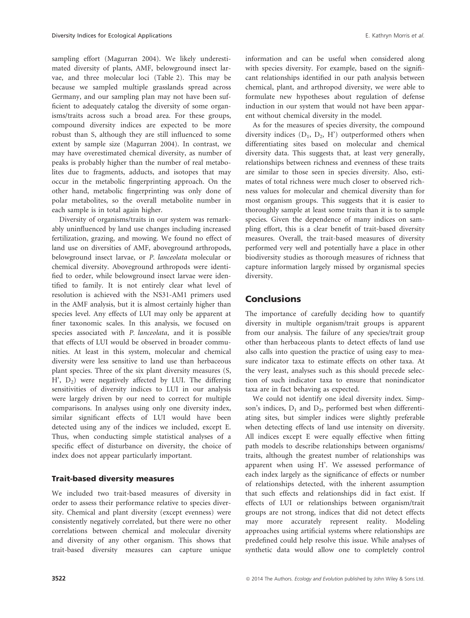sampling effort (Magurran 2004). We likely underestimated diversity of plants, AMF, belowground insect larvae, and three molecular loci (Table 2). This may be because we sampled multiple grasslands spread across Germany, and our sampling plan may not have been sufficient to adequately catalog the diversity of some organisms/traits across such a broad area. For these groups, compound diversity indices are expected to be more robust than S, although they are still influenced to some extent by sample size (Magurran 2004). In contrast, we may have overestimated chemical diversity, as number of peaks is probably higher than the number of real metabolites due to fragments, adducts, and isotopes that may occur in the metabolic fingerprinting approach. On the other hand, metabolic fingerprinting was only done of polar metabolites, so the overall metabolite number in each sample is in total again higher.

Diversity of organisms/traits in our system was remarkably uninfluenced by land use changes including increased fertilization, grazing, and mowing. We found no effect of land use on diversities of AMF, aboveground arthropods, belowground insect larvae, or P. lanceolata molecular or chemical diversity. Aboveground arthropods were identified to order, while belowground insect larvae were identified to family. It is not entirely clear what level of resolution is achieved with the NS31-AM1 primers used in the AMF analysis, but it is almost certainly higher than species level. Any effects of LUI may only be apparent at finer taxonomic scales. In this analysis, we focused on species associated with P. lanceolata, and it is possible that effects of LUI would be observed in broader communities. At least in this system, molecular and chemical diversity were less sensitive to land use than herbaceous plant species. Three of the six plant diversity measures (S, H',  $D_2$ ) were negatively affected by LUI. The differing sensitivities of diversity indices to LUI in our analysis were largely driven by our need to correct for multiple comparisons. In analyses using only one diversity index, similar significant effects of LUI would have been detected using any of the indices we included, except E. Thus, when conducting simple statistical analyses of a specific effect of disturbance on diversity, the choice of index does not appear particularly important.

## Trait-based diversity measures

We included two trait-based measures of diversity in order to assess their performance relative to species diversity. Chemical and plant diversity (except evenness) were consistently negatively correlated, but there were no other correlations between chemical and molecular diversity and diversity of any other organism. This shows that trait-based diversity measures can capture unique information and can be useful when considered along with species diversity. For example, based on the significant relationships identified in our path analysis between chemical, plant, and arthropod diversity, we were able to formulate new hypotheses about regulation of defense induction in our system that would not have been apparent without chemical diversity in the model.

As for the measures of species diversity, the compound diversity indices  $(D_1, D_2, H')$  outperformed others when differentiating sites based on molecular and chemical diversity data. This suggests that, at least very generally, relationships between richness and evenness of these traits are similar to those seen in species diversity. Also, estimates of total richness were much closer to observed richness values for molecular and chemical diversity than for most organism groups. This suggests that it is easier to thoroughly sample at least some traits than it is to sample species. Given the dependence of many indices on sampling effort, this is a clear benefit of trait-based diversity measures. Overall, the trait-based measures of diversity performed very well and potentially have a place in other biodiversity studies as thorough measures of richness that capture information largely missed by organismal species diversity.

# Conclusions

The importance of carefully deciding how to quantify diversity in multiple organism/trait groups is apparent from our analysis. The failure of any species/trait group other than herbaceous plants to detect effects of land use also calls into question the practice of using easy to measure indicator taxa to estimate effects on other taxa. At the very least, analyses such as this should precede selection of such indicator taxa to ensure that nonindicator taxa are in fact behaving as expected.

We could not identify one ideal diversity index. Simpson's indices,  $D_1$  and  $D_2$ , performed best when differentiating sites, but simpler indices were slightly preferable when detecting effects of land use intensity on diversity. All indices except E were equally effective when fitting path models to describe relationships between organisms/ traits, although the greatest number of relationships was apparent when using H'. We assessed performance of each index largely as the significance of effects or number of relationships detected, with the inherent assumption that such effects and relationships did in fact exist. If effects of LUI or relationships between organism/trait groups are not strong, indices that did not detect effects may more accurately represent reality. Modeling approaches using artificial systems where relationships are predefined could help resolve this issue. While analyses of synthetic data would allow one to completely control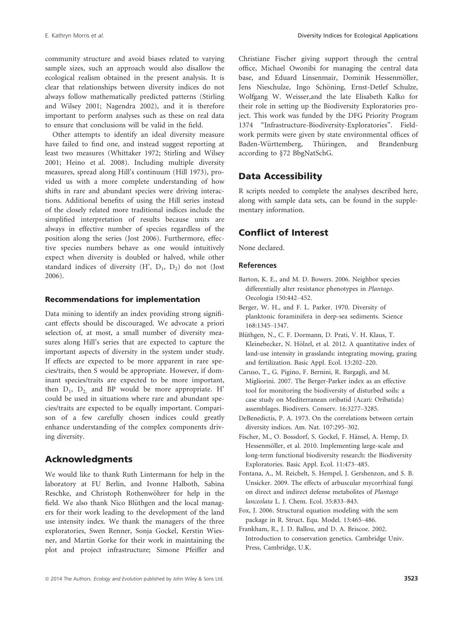community structure and avoid biases related to varying sample sizes, such an approach would also disallow the ecological realism obtained in the present analysis. It is clear that relationships between diversity indices do not always follow mathematically predicted patterns (Stirling and Wilsey 2001; Nagendra 2002), and it is therefore important to perform analyses such as these on real data to ensure that conclusions will be valid in the field.

Other attempts to identify an ideal diversity measure have failed to find one, and instead suggest reporting at least two measures (Whittaker 1972; Stirling and Wilsey 2001; Heino et al. 2008). Including multiple diversity measures, spread along Hill's continuum (Hill 1973), provided us with a more complete understanding of how shifts in rare and abundant species were driving interactions. Additional benefits of using the Hill series instead of the closely related more traditional indices include the simplified interpretation of results because units are always in effective number of species regardless of the position along the series (Jost 2006). Furthermore, effective species numbers behave as one would intuitively expect when diversity is doubled or halved, while other standard indices of diversity  $(H', D_1, D_2)$  do not (Jost 2006).

## Recommendations for implementation

Data mining to identify an index providing strong significant effects should be discouraged. We advocate a priori selection of, at most, a small number of diversity measures along Hill's series that are expected to capture the important aspects of diversity in the system under study. If effects are expected to be more apparent in rare species/traits, then S would be appropriate. However, if dominant species/traits are expected to be more important, then  $D_1$ ,  $D_2$  and BP would be more appropriate. H' could be used in situations where rare and abundant species/traits are expected to be equally important. Comparison of a few carefully chosen indices could greatly enhance understanding of the complex components driving diversity.

# Acknowledgments

We would like to thank Ruth Lintermann for help in the laboratory at FU Berlin, and Ivonne Halboth, Sabina Reschke, and Christoph Rothenwöhrer for help in the field. We also thank Nico Blüthgen and the local managers for their work leading to the development of the land use intensity index. We thank the managers of the three exploratories, Swen Renner, Sonja Gockel, Kerstin Wiesner, and Martin Gorke for their work in maintaining the plot and project infrastructure; Simone Pfeiffer and Christiane Fischer giving support through the central office, Michael Owonibi for managing the central data base, and Eduard Linsenmair, Dominik Hessenmöller, Jens Nieschulze, Ingo Schöning, Ernst-Detlef Schulze, Wolfgang W. Weisser,and the late Elisabeth Kalko for their role in setting up the Biodiversity Exploratories project. This work was funded by the DFG Priority Program 1374 "Infrastructure-Biodiversity-Exploratories". Fieldwork permits were given by state environmental offices of Baden-Württemberg, Thüringen, and Brandenburg according to §72 BbgNatSchG.

# Data Accessibility

R scripts needed to complete the analyses described here, along with sample data sets, can be found in the supplementary information.

# Conflict of Interest

None declared.

### References

- Barton, K. E., and M. D. Bowers. 2006. Neighbor species differentially alter resistance phenotypes in Plantago. Oecologia 150:442–452.
- Berger, W. H., and F. L. Parker. 1970. Diversity of planktonic foraminifera in deep-sea sediments. Science 168:1345–1347.
- Blüthgen, N., C. F. Dormann, D. Prati, V. H. Klaus, T. Kleinebecker, N. Hölzel, et al. 2012. A quantitative index of land-use intensity in grasslands: integrating mowing, grazing and fertilization. Basic Appl. Ecol. 13:202–220.
- Caruso, T., G. Pigino, F. Bernini, R. Bargagli, and M. Migliorini. 2007. The Berger-Parker index as an effective tool for monitoring the biodiversity of disturbed soils: a case study on Mediterranean oribatid (Acari: Oribatida) assemblages. Biodivers. Conserv. 16:3277–3285.
- DeBenedictis, P. A. 1973. On the correlations between certain diversity indices. Am. Nat. 107:295–302.
- Fischer, M., O. Bossdorf, S. Gockel, F. Hänsel, A. Hemp, D. Hessenmöller, et al. 2010. Implementing large-scale and long-term functional biodiversity research: the Biodiversity Exploratories. Basic Appl. Ecol. 11:473–485.
- Fontana, A., M. Reichelt, S. Hempel, J. Gershenzon, and S. B. Unsicker. 2009. The effects of arbuscular mycorrhizal fungi on direct and indirect defense metabolites of Plantago lanceolata L. J. Chem. Ecol. 35:833–843.
- Fox, J. 2006. Structural equation modeling with the sem package in R. Struct. Equ. Model. 13:465–486.
- Frankham, R., J. D. Ballou, and D. A. Briscoe. 2002. Introduction to conservation genetics. Cambridge Univ. Press, Cambridge, U.K.